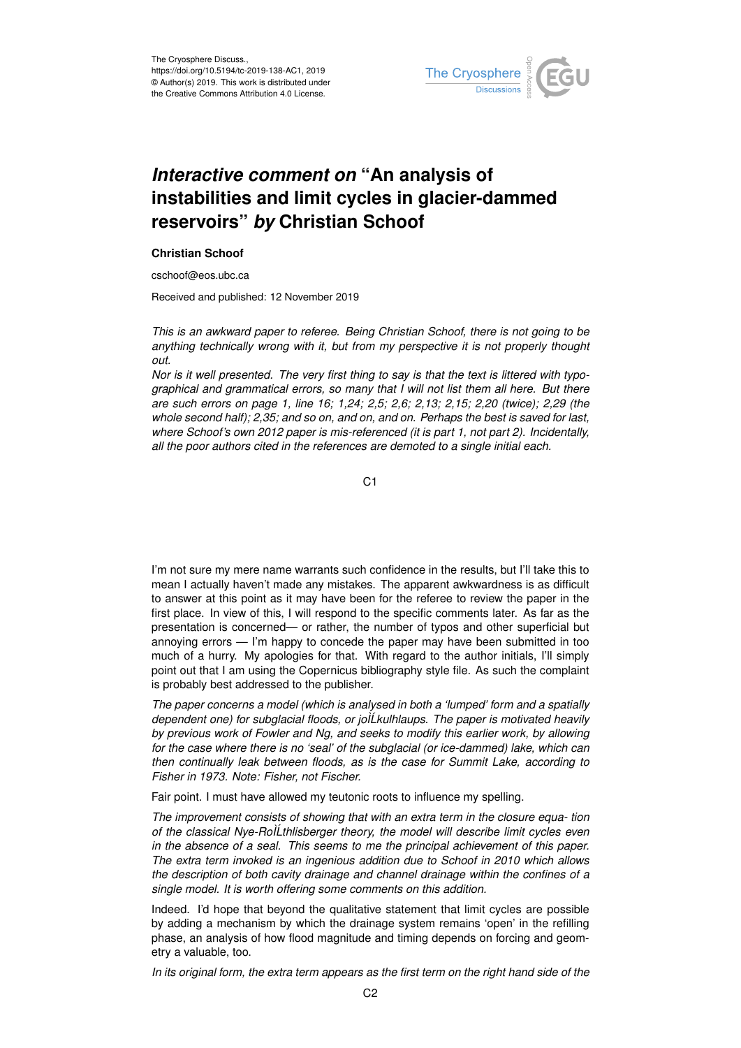

## *Interactive comment on* **"An analysis of instabilities and limit cycles in glacier-dammed reservoirs"** *by* **Christian Schoof**

## **Christian Schoof**

cschoof@eos.ubc.ca

Received and published: 12 November 2019

*This is an awkward paper to referee. Being Christian Schoof, there is not going to be anything technically wrong with it, but from my perspective it is not properly thought out.*

*Nor is it well presented. The very first thing to say is that the text is littered with typographical and grammatical errors, so many that I will not list them all here. But there are such errors on page 1, line 16; 1,24; 2,5; 2,6; 2,13; 2,15; 2,20 (twice); 2,29 (the whole second half); 2,35; and so on, and on, and on. Perhaps the best is saved for last, where Schoof's own 2012 paper is mis-referenced (it is part 1, not part 2). Incidentally, all the poor authors cited in the references are demoted to a single initial each.*

C<sub>1</sub>

I'm not sure my mere name warrants such confidence in the results, but I'll take this to mean I actually haven't made any mistakes. The apparent awkwardness is as difficult to answer at this point as it may have been for the referee to review the paper in the first place. In view of this, I will respond to the specific comments later. As far as the presentation is concerned— or rather, the number of typos and other superficial but annoying errors — I'm happy to concede the paper may have been submitted in too much of a hurry. My apologies for that. With regard to the author initials, I'll simply point out that I am using the Copernicus bibliography style file. As such the complaint is probably best addressed to the publisher.

*The paper concerns a model (which is analysed in both a 'lumped' form and a spatially dependent one) for subglacial floods, or joÌLkulhlaups. The paper is motivated heavily ´ by previous work of Fowler and Ng, and seeks to modify this earlier work, by allowing for the case where there is no 'seal' of the subglacial (or ice-dammed) lake, which can then continually leak between floods, as is the case for Summit Lake, according to Fisher in 1973. Note: Fisher, not Fischer.*

Fair point. I must have allowed my teutonic roots to influence my spelling.

*The improvement consists of showing that with an extra term in the closure equa- tion of the classical Nye-RoÌLthlisberger theory, the model will describe limit cycles even ´ in the absence of a seal. This seems to me the principal achievement of this paper. The extra term invoked is an ingenious addition due to Schoof in 2010 which allows the description of both cavity drainage and channel drainage within the confines of a single model. It is worth offering some comments on this addition.*

Indeed. I'd hope that beyond the qualitative statement that limit cycles are possible by adding a mechanism by which the drainage system remains 'open' in the refilling phase, an analysis of how flood magnitude and timing depends on forcing and geometry a valuable, too.

*In its original form, the extra term appears as the first term on the right hand side of the*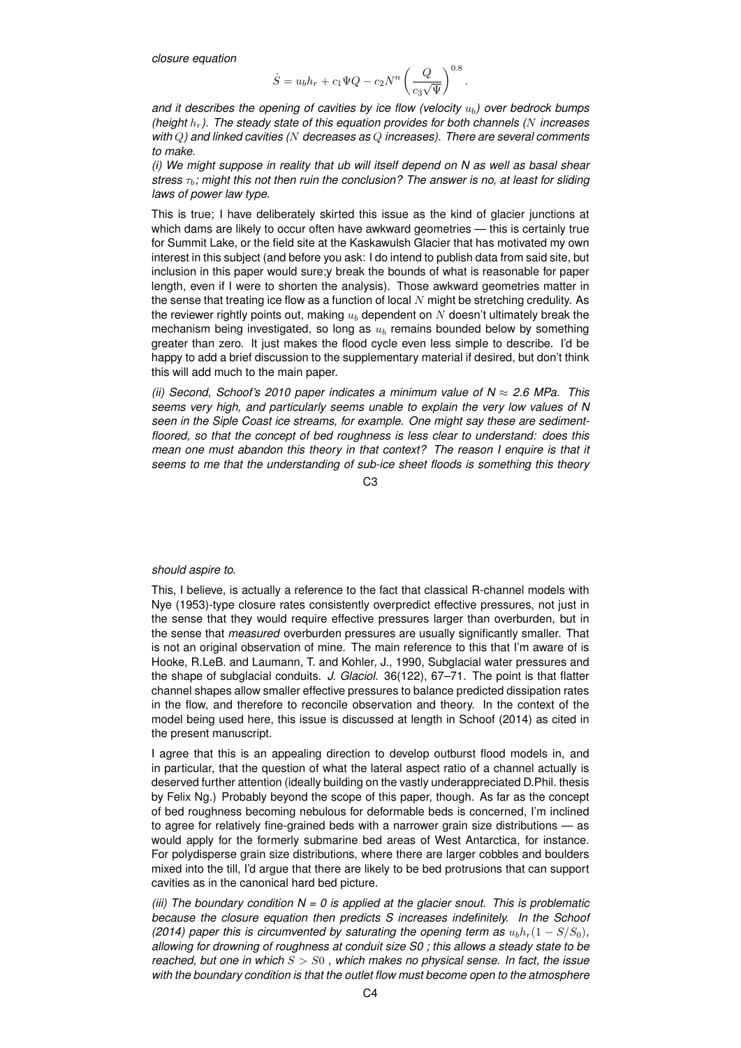*closure equation*

$$
\dot{S} = u_b h_r + c_1 \Psi Q - c_2 N^n \left(\frac{Q}{c_3 \sqrt{\Psi}}\right)^{0.8}.
$$

*and it describes the opening of cavities by ice flow (velocity*  $u<sub>b</sub>$ ) over bedrock bumps *(height* hr*). The steady state of this equation provides for both channels (*N *increases with* Q*) and linked cavities (*N *decreases as* Q *increases). There are several comments to make.*

*(i) We might suppose in reality that ub will itself depend on N as well as basal shear stress*  $\tau_b$ ; might this not then ruin the conclusion? The answer is no, at least for sliding *laws of power law type.*

This is true; I have deliberately skirted this issue as the kind of glacier junctions at which dams are likely to occur often have awkward geometries — this is certainly true for Summit Lake, or the field site at the Kaskawulsh Glacier that has motivated my own interest in this subject (and before you ask: I do intend to publish data from said site, but inclusion in this paper would sure;y break the bounds of what is reasonable for paper length, even if I were to shorten the analysis). Those awkward geometries matter in the sense that treating ice flow as a function of local  $N$  might be stretching credulity. As the reviewer rightly points out, making  $u<sub>b</sub>$  dependent on  $N$  doesn't ultimately break the mechanism being investigated, so long as  $u<sub>b</sub>$  remains bounded below by something greater than zero. It just makes the flood cycle even less simple to describe. I'd be happy to add a brief discussion to the supplementary material if desired, but don't think this will add much to the main paper.

*(ii) Second, Schoof's 2010 paper indicates a minimum value of N* ≈ *2.6 MPa. This seems very high, and particularly seems unable to explain the very low values of N seen in the Siple Coast ice streams, for example. One might say these are sedimentfloored, so that the concept of bed roughness is less clear to understand: does this mean one must abandon this theory in that context? The reason I enquire is that it seems to me that the understanding of sub-ice sheet floods is something this theory*

 $C<sub>3</sub>$ 

## *should aspire to.*

This, I believe, is actually a reference to the fact that classical R-channel models with Nye (1953)-type closure rates consistently overpredict effective pressures, not just in the sense that they would require effective pressures larger than overburden, but in the sense that *measured* overburden pressures are usually significantly smaller. That is not an original observation of mine. The main reference to this that I'm aware of is Hooke, R.LeB. and Laumann, T. and Kohler, J., 1990, Subglacial water pressures and the shape of subglacial conduits. *J. Glaciol.* 36(122), 67–71. The point is that flatter channel shapes allow smaller effective pressures to balance predicted dissipation rates in the flow, and therefore to reconcile observation and theory. In the context of the model being used here, this issue is discussed at length in Schoof (2014) as cited in the present manuscript.

I agree that this is an appealing direction to develop outburst flood models in, and in particular, that the question of what the lateral aspect ratio of a channel actually is deserved further attention (ideally building on the vastly underappreciated D.Phil. thesis by Felix Ng.) Probably beyond the scope of this paper, though. As far as the concept of bed roughness becoming nebulous for deformable beds is concerned, I'm inclined to agree for relatively fine-grained beds with a narrower grain size distributions — as would apply for the formerly submarine bed areas of West Antarctica, for instance. For polydisperse grain size distributions, where there are larger cobbles and boulders mixed into the till, I'd argue that there are likely to be bed protrusions that can support cavities as in the canonical hard bed picture.

*(iii) The boundary condition N = 0 is applied at the glacier snout. This is problematic because the closure equation then predicts S increases indefinitely. In the Schoof (2014) paper this is circumvented by saturating the opening term as*  $u_b h_r(1 - S/S_0)$ , *allowing for drowning of roughness at conduit size S0 ; this allows a steady state to be reached, but one in which* S > S0 *, which makes no physical sense. In fact, the issue with the boundary condition is that the outlet flow must become open to the atmosphere*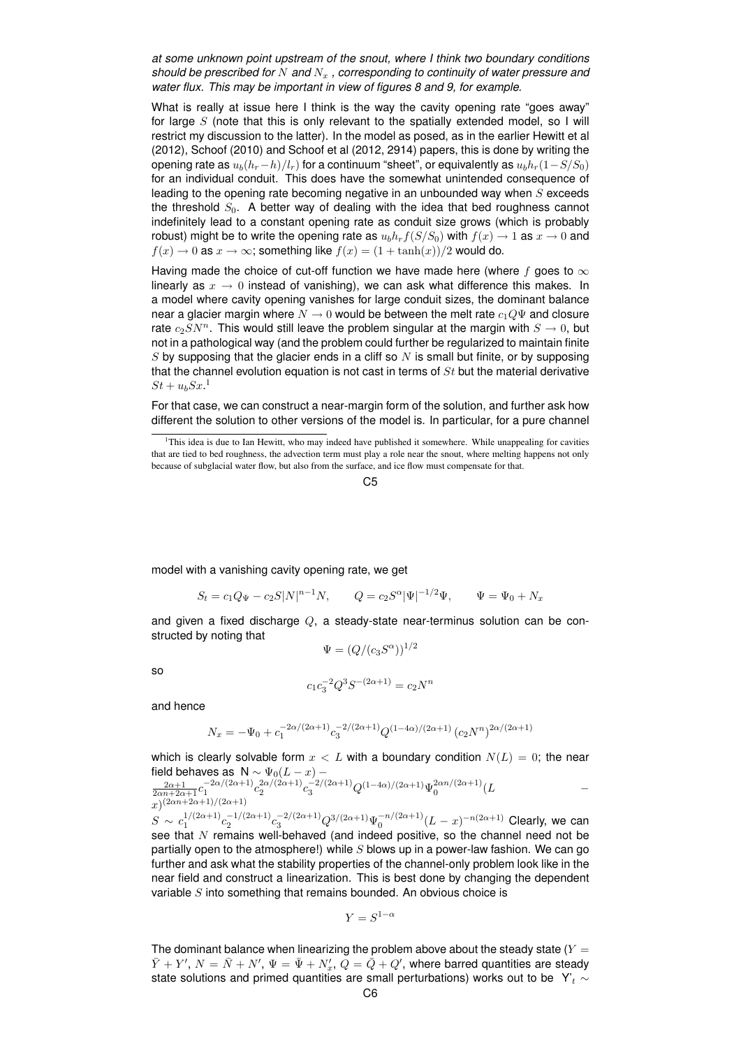*at some unknown point upstream of the snout, where I think two boundary conditions should be prescribed for* N and  $N_x$ , corresponding to continuity of water pressure and *water flux. This may be important in view of figures 8 and 9, for example.*

What is really at issue here I think is the way the cavity opening rate "goes away" for large  $S$  (note that this is only relevant to the spatially extended model, so I will restrict my discussion to the latter). In the model as posed, as in the earlier Hewitt et al (2012), Schoof (2010) and Schoof et al (2012, 2914) papers, this is done by writing the opening rate as  $u_b(h_r-h)/l_r$ ) for a continuum "sheet", or equivalently as  $u_bh_r(1-S/S_0)$ for an individual conduit. This does have the somewhat unintended consequence of leading to the opening rate becoming negative in an unbounded way when  $S$  exceeds the threshold  $S_0$ . A better way of dealing with the idea that bed roughness cannot indefinitely lead to a constant opening rate as conduit size grows (which is probably robust) might be to write the opening rate as  $u_b h_r f(S/S_0)$  with  $f(x) \to 1$  as  $x \to 0$  and  $f(x) \to 0$  as  $x \to \infty$ ; something like  $f(x) = (1 + \tanh(x))/2$  would do.

Having made the choice of cut-off function we have made here (where f goes to  $\infty$ linearly as  $x \to 0$  instead of vanishing), we can ask what difference this makes. In a model where cavity opening vanishes for large conduit sizes, the dominant balance near a glacier margin where  $N \to 0$  would be between the melt rate  $c_1 Q \Psi$  and closure rate  $c_2SN^n$ . This would still leave the problem singular at the margin with  $S \to 0$ , but not in a pathological way (and the problem could further be regularized to maintain finite  $S$  by supposing that the glacier ends in a cliff so  $N$  is small but finite, or by supposing that the channel evolution equation is not cast in terms of  $St$  but the material derivative  $St + u_b S x$ <sup>1</sup>

For that case, we can construct a near-margin form of the solution, and further ask how different the solution to other versions of the model is. In particular, for a pure channel

model with a vanishing cavity opening rate, we get

$$
S_t = c_1 Q_{\Psi} - c_2 S |N|^{n-1} N, \qquad Q = c_2 S^{\alpha} |\Psi|^{-1/2} \Psi, \qquad \Psi = \Psi_0 + N_x
$$

and given a fixed discharge  $Q$ , a steady-state near-terminus solution can be constructed by noting that

$$
\Psi = (Q/(c_3 S^{\alpha}))^{1/2}
$$

so

$$
c_1 c_3^{-2} Q^3 S^{-(2\alpha+1)} = c_2 N^n
$$

and hence

$$
N_x = -\Psi_0 + c_1^{-2\alpha/(2\alpha+1)} c_3^{-2/(2\alpha+1)} Q^{(1-4\alpha)/(2\alpha+1)} (c_2 N^n)^{2\alpha/(2\alpha+1)}
$$

which is clearly solvable form  $x < L$  with a boundary condition  $N(L) = 0$ ; the near field behaves as N ~  $\Psi_0(L-x)$  −<br>  $\frac{2\alpha+1}{2\alpha n+2\alpha+1}c_1^{-2\alpha/(2\alpha+1)}c_2^{2\alpha/(2\alpha+1)}c_3^{-2/(2\alpha+1)}Q^{(1-4\alpha)/(2\alpha+1)}\Psi_0^{2\alpha n/(2\alpha+1)}(L -$ 

 $x)^{(2\alpha n+2\alpha+1)/(2\alpha+1)}$  $S \sim c_1^{1/(2\alpha+1)} c_2^{-1/(2\alpha+1)} c_3^{2/(2\alpha+1)} Q^{3/(2\alpha+1)} \Psi_0^{-n/(2\alpha+1)} (L-x)^{-n(2\alpha+1)}$  Clearly, we can see that  $N$  remains well-behaved (and indeed positive, so the channel need not be partially open to the atmosphere!) while  $S$  blows up in a power-law fashion. We can go further and ask what the stability properties of the channel-only problem look like in the near field and construct a linearization. This is best done by changing the dependent variable S into something that remains bounded. An obvious choice is

$$
Y = S^{1-\alpha}
$$

The dominant balance when linearizing the problem above about the steady state  $(Y =$  $\bar{Y}+Y',\,N=\bar{N}+N',\,\Psi=\bar{\Psi}+N'_x,\,\bar{Q}=\dot{\bar{Q}}+Q',$  where barred quantities are steady state solutions and primed quantities are small perturbations) works out to be Y'<sub>t</sub> ∼

<sup>&</sup>lt;sup>1</sup>This idea is due to Ian Hewitt, who may indeed have published it somewhere. While unappealing for cavities that are tied to bed roughness, the advection term must play a role near the snout, where melting happens not only because of subglacial water flow, but also from the surface, and ice flow must compensate for that.

 $C<sub>5</sub>$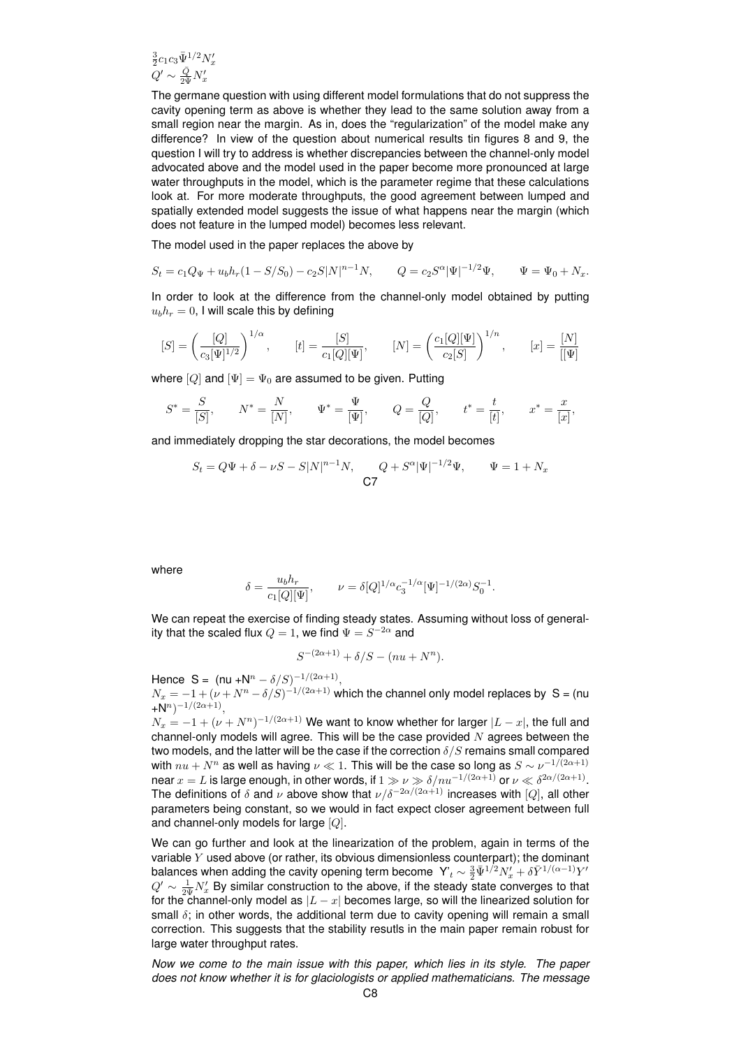$\frac{3}{2}c_1c_3\Psi_1^{1/2}N_x'$  $Q'\sim \frac{\bar{Q}}{2\bar{\Psi}}N'_x$ 

The germane question with using different model formulations that do not suppress the cavity opening term as above is whether they lead to the same solution away from a small region near the margin. As in, does the "regularization" of the model make any difference? In view of the question about numerical results tin figures 8 and 9, the question I will try to address is whether discrepancies between the channel-only model advocated above and the model used in the paper become more pronounced at large water throughputs in the model, which is the parameter regime that these calculations look at. For more moderate throughputs, the good agreement between lumped and spatially extended model suggests the issue of what happens near the margin (which does not feature in the lumped model) becomes less relevant.

The model used in the paper replaces the above by

$$
S_t = c_1 Q_{\Psi} + u_b h_r (1 - S/S_0) - c_2 S |N|^{n-1} N, \qquad Q = c_2 S^{\alpha} |\Psi|^{-1/2} \Psi, \qquad \Psi = \Psi_0 + N_x.
$$

In order to look at the difference from the channel-only model obtained by putting  $u_b h_r = 0$ , I will scale this by defining

$$
[S] = \left(\frac{[Q]}{c_3[\Psi]^{1/2}}\right)^{1/\alpha}, \qquad [t] = \frac{[S]}{c_1[Q][\Psi]}, \qquad [N] = \left(\frac{c_1[Q][\Psi]}{c_2[S]}\right)^{1/n}, \qquad [x] = \frac{[N]}{[[\Psi]}
$$

where  $[Q]$  and  $[\Psi] = \Psi_0$  are assumed to be given. Putting

$$
S^* = \frac{S}{[S]}, \qquad N^* = \frac{N}{[N]}, \qquad \Psi^* = \frac{\Psi}{[\Psi]}, \qquad Q = \frac{Q}{[Q]}, \qquad t^* = \frac{t}{[t]}, \qquad x^* = \frac{x}{[x]},
$$

and immediately dropping the star decorations, the model becomes

$$
S_t = Q\Psi + \delta - \nu S - S|N|^{n-1}N, \qquad Q + S^{\alpha}|\Psi|^{-1/2}\Psi, \qquad \Psi = 1 + N_x
$$
  
**C7**

where

$$
\delta = \frac{u_b h_r}{c_1[Q][\Psi]}, \qquad \nu = \delta [Q]^{1/\alpha} c_3^{-1/\alpha} [\Psi]^{-1/(2\alpha)} S_0^{-1}.
$$

We can repeat the exercise of finding steady states. Assuming without loss of generality that the scaled flux  $Q=1,$  we find  $\Psi=S^{-2\alpha}$  and

$$
S^{-(2\alpha+1)} + \delta/S - (nu + N^n).
$$

Hence  $S = (nu + N^n - \delta/S)^{-1/(2\alpha+1)}$ ,

 $N_x = -1 + (\nu + N^n - \delta/S)^{-1/(2\alpha+1)}$  which the channel only model replaces by S = (nu  $+N^n)^{-1/(2\alpha+1)},$ 

 $N_x = -1 + (\nu + N^n)^{-1/(2\alpha+1)}$  We want to know whether for larger  $|L-x|$ , the full and channel-only models will agree. This will be the case provided  $N$  agrees between the two models, and the latter will be the case if the correction  $\delta/S$  remains small compared with  $nu + N^n$  as well as having  $\nu \ll 1$ . This will be the case so long as  $S \sim \nu^{-1/(2\alpha+1)}$ near  $x=L$  is large enough, in other words, if  $1\gg \nu \gg \delta/nu^{-1/(2\alpha+1)}$  or  $\nu \ll \delta^{2\alpha/(2\alpha+1)}$ . The definitions of  $\delta$  and  $\nu$  above show that  $\nu/\delta^{-2\alpha/(2\alpha+1)}$  increases with [Q], all other parameters being constant, so we would in fact expect closer agreement between full and channel-only models for large [Q].

We can go further and look at the linearization of the problem, again in terms of the variable  $Y$  used above (or rather, its obvious dimensionless counterpart); the dominant balances when adding the cavity opening term become  $\ Y'_{t}\sim \frac{3}{2}\bar{\Psi}^{1/2}N'_{x}+\delta\bar{Y}^{1/(\alpha-1)}Y'$  $Q' \sim \frac{1}{2\bar{\Psi}} N'_x$  By similar construction to the above, if the steady state converges to that for the channel-only model as  $|L - x|$  becomes large, so will the linearized solution for small  $\delta$ ; in other words, the additional term due to cavity opening will remain a small correction. This suggests that the stability resutls in the main paper remain robust for large water throughput rates.

*Now we come to the main issue with this paper, which lies in its style. The paper does not know whether it is for glaciologists or applied mathematicians. The message*